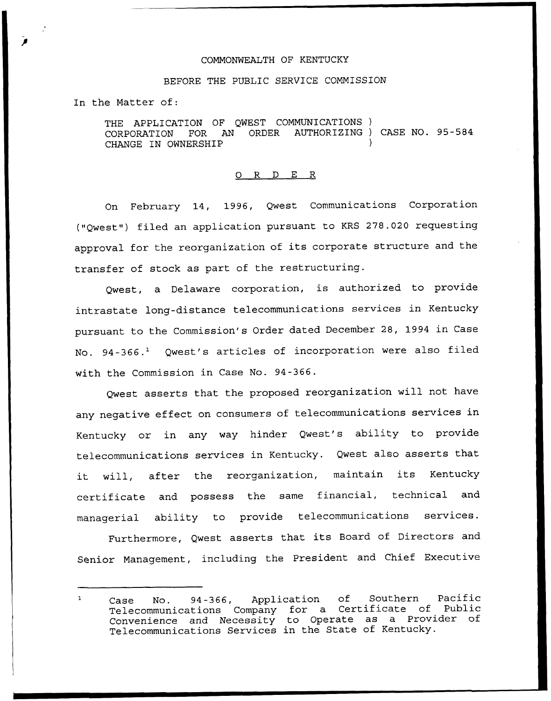## COMMONWEALTH OF KENTUCKY

## BEFORE THE PUBLIC SERVICE COMMISSION

In the Matter of:

THE APPLICATION OF QWEST COMMUNICATIONS)<br>CORPORATION FOR AN ORDER AUTHORIZING) AUTHORIZING ) CASE NO. 95-584 CHANGE IN OWNERSHIP

## 0 <sup>R</sup> <sup>D</sup> E <sup>R</sup>

On February 14, 1996, Qwest Communications Corporation ("Qwest") filed an application pursuant to KRS 278.020 requesting approval for the reorganization of its corporate structure and the transfer of stock as part of the restructuring.

Qwest, a Delaware corporation, is authorized to provide intrastate long-distance telecommunications services in Kentucky pursuant to the Commission's Order dated December 28, 1994 in Case No. 94-366.<sup>1</sup> Qwest's articles of incorporation were also filed with the Commission in Case No. 94-366.

Qwest asserts that the proposed reorganization will not have any negative effect on consumers of telecommunications services in Kentucky or in any way hinder Qwest's ability to provide telecommunications services in Kentucky. Qwest also asserts that it will, after the reorganization, maintain its Kentucky certificate and possess the same financial, technical and managerial ability to provide telecommunications services.

Furthermore, Qwest asserts that its Board of Directors and Senior Management, including the President and Chief Executive

Case No. 94-366, Application of Southern Pacific  $\mathbf{1}$ Telecommunications Company for a Certificate of Public Convenience and Necessity to Operate as a Provider of Telecommunications Services in the State of Kentucky.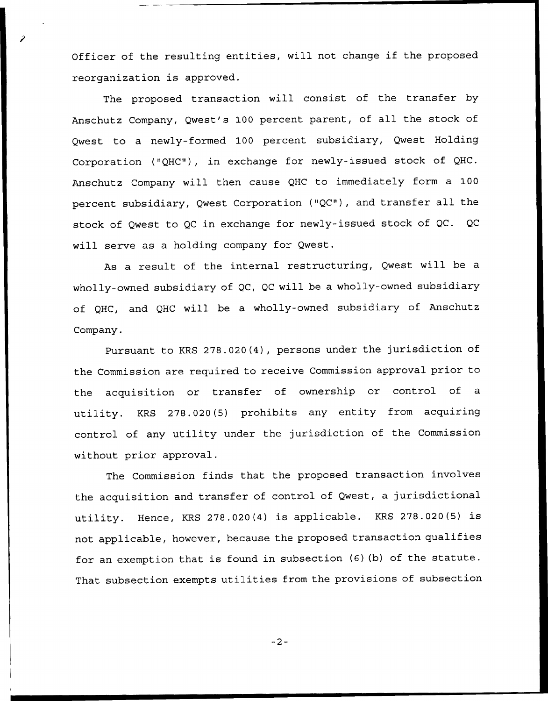Officer of the resulting entities, will not change if the proposed reorganization is approved.

The proposed transaction will consist of the transfer by Anschutz Company, Qwest's 100 percent parent, of all the stock of Qwest to a newly-formed 100 percent subsidiary, Qwest Holding Corporation {"QHC"), in exchange for newly-issued stock of QHC. Anschutz Company will then cause QHC to immediately form a 100 percent subsidiary, Qwest Corporation ("QC"), and transfer all the stock of Qwest to QC in exchange for newly-issued stock of QC. QC will serve as a holding company for Qwest.

As a result of the internal restructuring, Qwest will be a wholly-owned subsidiary of QC, QC will be a wholly-owned subsidiary of QHC, and QHC will be a wholly-owned subsidiary of Anschutz Company.

Pursuant to KRS 278.020{4), persons under the jurisdiction of the Commission are required to receive Commission approval prior to the acquisition or transfer of ownership or control of a utility. KRS 278.020{5) prohibits any entity from acquiring control of any utility under the jurisdiction of the Commission without prior approval.

The Commission finds that the proposed transaction involves the acquisition and transfer of control of Qwest, a jurisdictional utility. Hence, KRS 278.020(4) is applicable. KRS 278.020(5) is not applicable, however, because the proposed transaction qualifies for an exemption that is found in subsection (6) {b) of the statute. That subsection exempts utilities from the provisions of subsection

 $-2-$